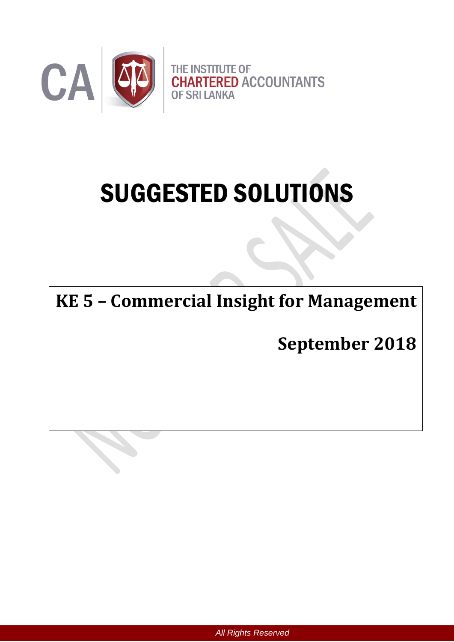

# SUGGESTED SOLUTIONS

**KE 5 – Commercial Insight for Management**

**September 2018**

*All Rights Reserved*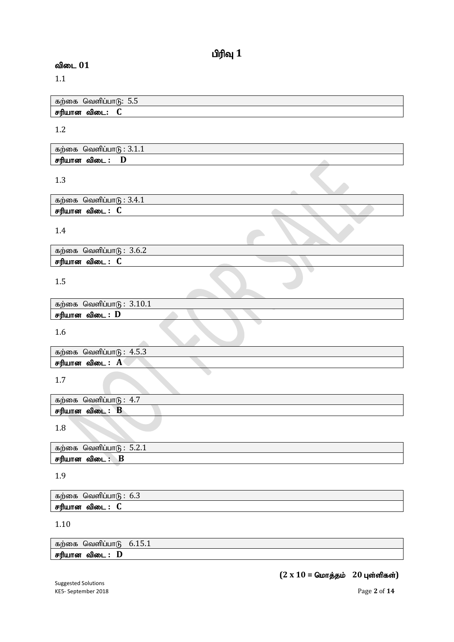# $\mathbf{u}$ ரிவு  $\mathbf{1}$

# விடை 01

1.1

|              | ் கற்கை  வெளிப்பாடு:  5.5 ° |  |
|--------------|-----------------------------|--|
| சரியான விடை: |                             |  |

### 1.2

| கற்கை வெளிப்பா $6:3.1.1$ |  |
|--------------------------|--|
| சரியான விடை : D          |  |

# 1.3

| வெளிப்பாடு :<br>$\cdot$ 3.4.1<br>கற்கை |  |
|----------------------------------------|--|
| சரியான<br>விடை                         |  |

## 1.4

| கற்கை வெளிப்பா $6: 3.6.2$ |  |
|---------------------------|--|
| சரியான விடை : C           |  |

# 1.5

| கற்கை வெளிப்பாடு : $3.10.1$ |  |  |  |
|-----------------------------|--|--|--|
| சரியான விடை : $\bf{D}$      |  |  |  |
|                             |  |  |  |

1.6

| கற்கை  | வெளிப்பாடு<br>- 4.5.ა |  |  |
|--------|-----------------------|--|--|
| சரியான | விடை .<br>A           |  |  |

1.7

| கற்கை<br>4.7<br>வெளிப்பாடு |  |
|----------------------------|--|
| D<br>சரியான<br>ഖിത∟<br>D   |  |
|                            |  |

1.8

| கற்கை<br>வெளிப்பா(ப      | $\sim$<br>$\cdot$ |
|--------------------------|-------------------|
| −<br>சரியான<br>விடை<br>D |                   |

1.9

| கற்கை வெளிப்பாடு: $6.3$ |  |
|-------------------------|--|
| சரியான விடை : C         |  |

## 1.10

கற்கை வெளிப்பாடு  $6.15.1$ rupahd tpil **: D**

# $(2 \times 10 =$  மொத்தம் 20 புள்ளிகள்)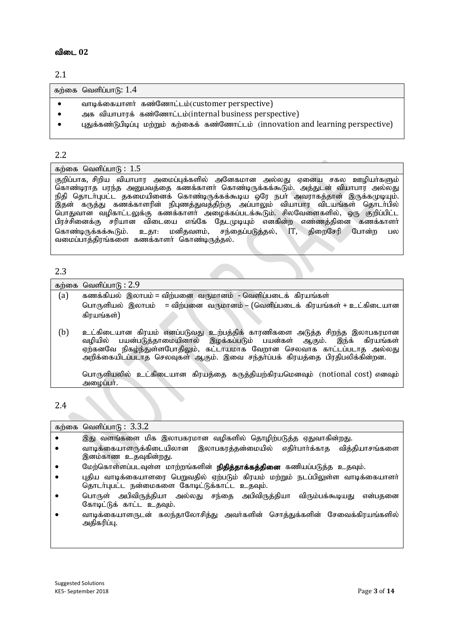#### விடை 02

#### 2.1

கற்கை வெளிப்பா $f$ : 1.4

- வாடிக்கையாளர் கண்ணோட்டம்(customer perspective)
- அக வியாபாரக் கண்ணோட்டம்(internal business perspective)
- புதுக்கண்டுபிடிப்பு மற்றும் கற்கைக் கண்ணோட்டம் (innovation and learning perspective)

#### 2.2

#### கற்கை வெளிப்பா $f<sub>B</sub>$ : 1.5

குறிப்பாக, சிறிய வியாபார அமைப்புக்களில் அனேகமான அல்லது ஏனைய சகல ஊழியா்களும் கொண்டிராத பரந்த அனுபவத்தை கணக்காளா் கொண்டிருக்கக்கூடும். அத்துடன் வியாபார அல்லது நிதி தொடா்புபட்ட தகமையினைக் கொண்டிருக்கக்கூடிய ஒரே நபா அவராகத்தான் இருக்கமுடியும். இதன் கருத்து கணக்காளரின் நிபுணத்துவத்திற்கு அப்பாலும் வியாபார விடயங்கள் தொடா்பில் பொதுவான வழிகாட்டலுக்கு கணக்காளர் அழைக்கப்படக்கூடும். சிலவேளைகளில், ஒரு குறிப்பிட்ட பிரச்சினைக்கு சரியான விடையை எங்கே தேடமுடியும் எனகின்ற எண்ணத்தினை கணக்காளர் கொண்டிருக்கக்கூடும். உதா: மனிதவளம், சந்தைப்படுத்தல், IT, திறைசேரி போன்ற பல வமைப்பாக்கிாங்களை கணக்காளர் கொண்டிருக்கல்.

#### 2.3

|     | கற்கை வெளிப்பா $6:2.9$                                                                                                                                                                                                                                                                                        |
|-----|---------------------------------------------------------------------------------------------------------------------------------------------------------------------------------------------------------------------------------------------------------------------------------------------------------------|
| (a) | கணக்கியல் இலாபம் = விற்பனை வருமானம் - வெளிப்படைக் கிரயங்கள்                                                                                                                                                                                                                                                   |
|     | = விற்பனை வருமானம் – (வெளிப்படைக் கிரயங்கள் + உட்கிடையான<br>பொருளியல் இலாபம்                                                                                                                                                                                                                                  |
|     | கிரயங்கள்)                                                                                                                                                                                                                                                                                                    |
| (b) | உட்கிடையான கிரயம் எனப்படுவது உற்பத்திக் காரணிகளை அடுத்த சிறந்த இலாபகரமான<br>வழியில் பயன்படுத்தாமையினால் இழக்கப்படும் பயன்கள் ஆகும். இந்க் கிரயங்கள்<br>ஏற்கனவே நிகழ்ந்துள்ளபோதிலும், கட்டாயமாக வேறான செலவாக காட்டப்படாத அல்லது<br>அறிக்கையிடப்படாத செலவுகள் ஆகும். இவை சந்தா்ப்பக் கிரயத்தை பிரதிபலிக்கின்றன. |
|     | பொருளியலில் உட்கிடையான கிரயத்தை கருத்தியற்கிரயமெனவும் (notional cost) எனவும்<br>அழைப்பா்.                                                                                                                                                                                                                     |
|     |                                                                                                                                                                                                                                                                                                               |

### 2.4

| கற்கை வெளிப்பாடு: $3.3.2$                                                                                                       |
|---------------------------------------------------------------------------------------------------------------------------------|
| இது வளங்களை மிக இலாபகரமான வழிகளில் தொழிற்படுத்த ஏதுவாகின்றது.                                                                   |
| வாடிக்கையாளருக்கிடையிலான இலாபகரத்தன்மையில் எதிர்பார்க்காத வித்தியாசங்களை<br>இனம்காண உதவுகின்றது.                                |
| மேற்கொள்ளப்படவுள்ள மாற்றங்களின் <b>நிதித்தாக்கத்தினை</b> கணியப்படுத்த உதவும்.                                                   |
| புதிய வாடிக்கையாளரை பெறுவதில் ஏற்படும் கிரயம் மற்றும் நடப்பிலுள்ள வாடிக்கையாளர்<br>தொடர்புபட்ட நன்மைகளை கோடிட்டுக்காட்ட உதவும். |
| பொருள் அபிவிருத்தியா அல்லது சந்தை அபிவிருத்தியா விரும்பக்கூடியது<br>என்பகனை<br>கோடிட்டுக் காட்ட உதவும்.                         |
| வாடிக்கையாளருடன் கலந்தாலோசித்து அவர்களின் சொத்துக்களின் சேவைக்கிரயங்களில்<br>அதிகரிப்பு.                                        |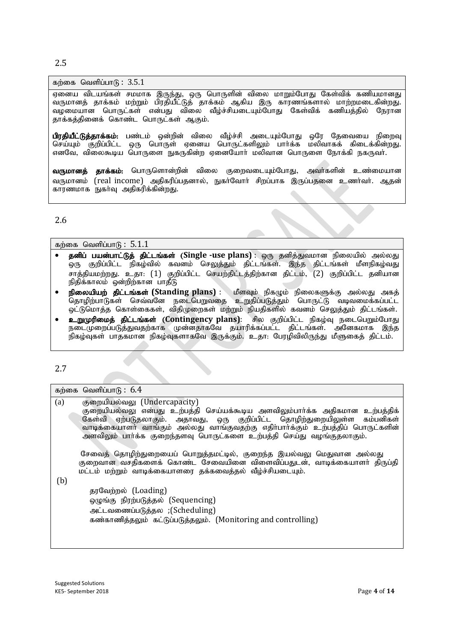2.5

#### கற்கை வெளிப்பா $f<sub>B</sub>$ :  $3.5.1$

ஏனைய விடயங்கள் சமமாக இருந்து, ஒரு பொருளின் விலை மாறும்போது கேள்விக் கணியமானது ,<br>வருமானத் தாக்கம் மற்றும் பிரதியீட்டுத் தாக்கம் ஆகிய இரு காரணங்களால் மாற்றமடைகின்றது. வழமையான பொருட்கள் என்பது விலை வீழ்ச்சியடையும்போது கேள்விக் கணியத்தில் நேரான தாக்கத்தினைக் கொண்ட பொருட்கள் ஆகும்.

பிரதியீட்டுத்தாக்கம்: பண்டம் ஒன்றின் விலை வீழ்ச்சி அடையும்போது ஒரே தேவையை நிறைவு ்.<br>செய்யும் குறிப்பிட்ட ஒரு பொருள் ஏனைய பொருட்களிலும் பார்க்க மலிவாகக் கிடைக்கின்றது. எனவே, விலைகூடிய பொருளை நுகருகின்ற ஏனையோர் மலிவான பொருளை நோக்கி நகருவர்.

வருமானத் தாக்கம்: பொருளொன்றின் விலை குறைவடையும்போது, அவர்களின் உண்மையான வருமானம் (real income) அகிகரிப்பகனால், நுகர்வோர் சிறப்பாக இருப்பதனை உணர்வர், ஆகன் காரணமாக நுகா்வு அதிகரிக்கின்றது.

#### 2.6

|  | கற்கை வெளிப்பா $6: 5.1.1$ |  |
|--|---------------------------|--|
|--|---------------------------|--|

- தனிப் பயன்பாட்டுத் திட்டங்கள் (Single -use plans) : ஒரு தனித்துவமான நிலையில் அல்லது .<br>ஒரு குறிப்பிட்ட நிகழ்வில் கவனம் செலுத்தும் திட்டங்கள். இந்த திட்டங்கள் மீளநிகழ்வது .<br>சாத்தியமற்றது. உதா: (1) குறிப்பிட்ட செயற்திட்டத்திற்கான திட்டம், (2) குறிப்பிட்ட தனியான நிதிக்காலம் ஒன்றிற்கான பாதீடு
- நிலையியற் திட்டங்கள் (Standing plans) : மீளவும் நிகழும் நிலைகளுக்கு அல்லது அகத் njhopw;ghLfs; nrt;tNd eilngWtij cWjpg;gLj;Jk ; nghUl;L tbtikf;fg;gl;l ஒட்டுமொத்த கொள்கைகள், விதிமுறைகள் மற்றும் நியதிகளில் கவனம் செலுத்தும் திட்டங்கள்.
- **உறுமுரிமைத் திட்டங்கள் (Contingency plans)**: சில குறிப்பிட்ட நிகழ்வு நடைபெறும்போது நடைமுறைப்படுத்துவதற்காக முன்னதாகவே தயாரிக்கப்பட்ட திட்டங்கள். அனேகமாக இந்த .<br>நிகழ்வுகள் பாதகமான நிகழ்வுகளாகவே இருக்கும். உதா: பேரழிவிலிருந்து மீளுகைத் திட்டம்.

#### 2.7

|     | கற்கை வெளிப்பாடு : $6.4$                                                                                                                                                                                                                                                                                                                               |
|-----|--------------------------------------------------------------------------------------------------------------------------------------------------------------------------------------------------------------------------------------------------------------------------------------------------------------------------------------------------------|
| (a) | குறையியல்வலு (Undercapacity)<br>குறையியல்வலு என்பது உற்பத்தி செய்யக்கூடிய அளவிலும்பாா்க்க அதிகமான உற்பத்திக்<br>கேள்வி ஏற்படுதலாகும். அதாவது, ஒரு குறிப்பிட்ட தொழிற்துறையிலுள்ள கம்பனிகள்<br>வாடிக்கையாளா் வாங்கும் அல்லது வாங்குவதற்கு எதிா்பாா்க்கும் உற்பத்திப் பொருட்களின்<br>அளவிலும் பார்க்க குறைந்தளவு பொருட்களை உற்பத்தி செய்து வழங்குதலாகும். |
| (b) | சேவைத் தொழிற்துறையைப் பொறுத்தமட்டில், குறைந்த இயல்வலு மெதுவான அல்லது<br>குறைவான வசதிகளைக் கொண்ட சேவையினை விளைவிப்பதுடன், வாடிக்கையாளர் திருப்தி<br>மட்டம் மற்றும் வாடிக்கையாளரை தக்கவைத்தல் வீழ்ச்சியடையும்.                                                                                                                                           |
|     | தரவேற்றல் (Loading)<br>ஒழுங்கு நிரற்படுத்தல் (Sequencing)<br>அட்டவணைப்படுத்தல ;(Scheduling)<br>கண்காணித்தலும் கட்டுப்படுத்தலும். (Monitoring and controlling)                                                                                                                                                                                          |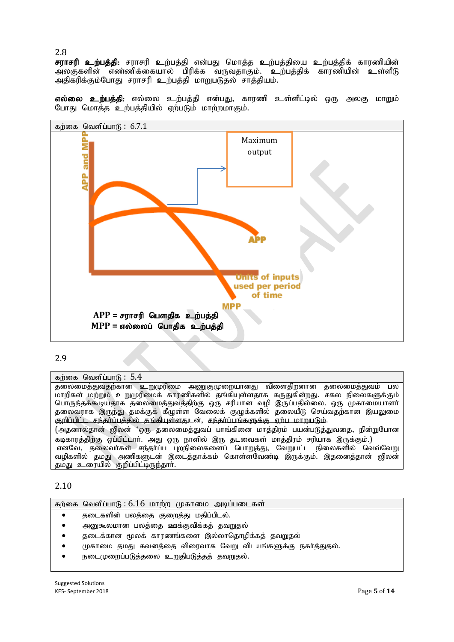2.8

சராசரி உற்பத்தி<del>.</del> சராசரி உற்பத்தி என்பது மொத்த உற்பத்தியை உற்பத்திக் காரணியின் அலகுகளின் எண்ணிக்கையால் பிரிக்க வருவதாகும். உற்பத்திக் காரணியின் உள்ளீடு அதிகரிக்கும்போது சராசரி உற்பத்தி மாறுபடுதல் சாத்தியம்.

எல்லை உற்பத்தி: எல்லை உற்பத்தி என்பது, காரணி உள்ளீட்டில் ஒரு அலகு மாறும் போது மொத்த உற்பத்தியில் ஏற்படும் மாற்றமாகும்.



#### 2.9

#### கற்கை வெளிப்பா $\mathfrak{g}: 5.4$

...<br>தலைமைத்துவதற்கான உறுமுரிமை அணுகுமுறையானது விளைதிறனான தலைமைத்துவம் பல மாறிகள் மற்றும் உறுமுரிமைக் காரணிகளில் தங்கியுள்ளதாக கருதுகின்றது. சகல நிலைகளுக்கும் பொருந்தக்கூடியதாக தலைமைத்துவத்திற்கு <u>ஒரு சரியான வழி</u> இருப்பதில்லை. ஒரு முகாமையாளா் தலைவராக இருந்து தமக்குக் கீழுள்ள வேலைக் குழுக்களில் தலையீடு செய்வதற்கான இயலுமை குறிப்பிட்ட சந்தர்ப்பத்தில் தங்கியுள்ளதுடன், சந்தர்ப்பங்களுக்கு ஏற்ப மாறுபடும். (அதனால்தான் ஜிலன் 'ஒரு தலைமைத்துவப் பாங்கினை மாத்திரம் பயன்படுத்துவதை, நின்றுபோன கடிகாரத்திற்கு ஒப்பிட்டார். அது ஒரு நாளில் இரு தடவைகள் மாத்திரம் சரியாக இருக்கும்.) எனவே, தலைவர்கள் சந்தாப்ப புறநிலைகளைப் பொறுத்து, வேறுபட்ட நிலைகளில் வெவ்வேறு வழிகளில் தமது அணிகளுடன் இடைத்தாக்கம் கொள்ளவேண்டி இருக்கும். இதனைத்தான் ஜிலன் தமது உரையில் குறிப்பிட்டிருந்தார்.

2.10

|  | கற்கை வெளிப்பாடு : 6.16 மாற்ற முகாமை அடிப்படைகள் |  |  |  |  |
|--|--------------------------------------------------|--|--|--|--|
|--|--------------------------------------------------|--|--|--|--|

- தடைகளின் பலத்தை குறைத்து மதிப்பிடல்.
- அனுகூலமான பலத்தை ஊக்குவிக்கத் தவறுதல்
- தடைக்கான மூலக் காரணங்களை இல்லாதொழிக்கத் தவறுதல்
- முகாமை தமது கவனத்தை விரைவாக வேறு விடயங்களுக்கு நகர்த்துதல்.
- நடைமுறைப்படுக்கலை உறுகிபடுக்கக் கவறுகல்.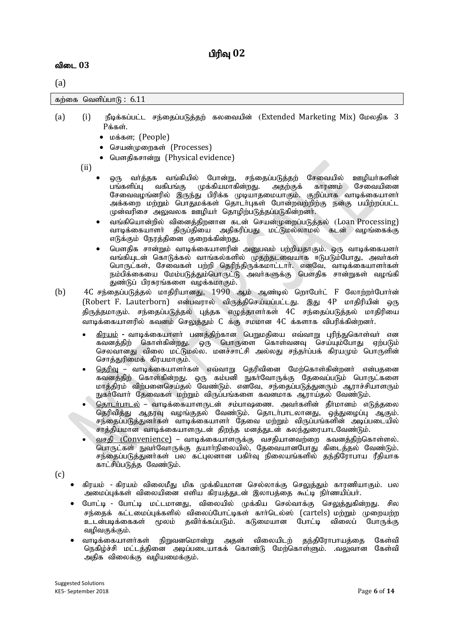# பிரிவு 02

#### விடை 03

# (a)

கற்கை வெளிப்பா $f<sub>B</sub>$ : 6.11

- (a) (i) நீடிக்கப்பட்ட சந்தைப்படுத்தற் கலவையின் (Extended Marketing Mix) மேலதிக 3  $P$ க்கள்.
	- மக்கள; (People)
	- செயன்முறைகள் (Processes)
	- பௌதிகசான்று (Physical evidence)

(ii)

- ஒரு வர்த்தக வங்கியில் போன்று, சந்தைப்படுத்தற் சேவையில் ஊழியர்களின்<br>பங்களிப்ப வகிபங்கு முக்கியமாகின்றது. அதற்குக் காரணம் சேவையினை பங்களிப்பு வகிபங்கு முக்கியமாகின்றது. சேவைவழங்னரில் இருந்து பிரிக்க முடியாதமையாகும். குறிப்பாக வாடிக்கையாளர் அக்கறை மற்றும் பொதுமக்கள் தொடர்புகள் போன்றவற்றிற்கு நன்கு பயிற்றப்பட்ட முன்வரிசை அலுவலக ஊழியா தொழிற்படுத்தப்படுகின்றனா்.
- வங்கியொன்றில் வினைத்திறனான கடன் செயன்முறைப்படுத்தல் (Loan Processing) வாடிக்கையாளர் திருப்தியை அதிகரிப்பது மட்டுமல்லாமல் கடன் வழங்கைக்கு எடுக்கும் நேரத்தினை குறைக்கின்றது.
- பௌதிக சான்றும் வாடிக்கையாளரின் அனுபவம் பற்றியதாகும். ஒரு வாடிக்கையளா் வங்கியுடன் கொடுக்கல் வாங்கல்களில் முதற்தடவையாக ஈடுபடும்போது, அவர்கள் பொருட்கள், சேவைகள் பற்றி தெரிந்திருக்கமாட்டார். எனவே, வாடிக்கையாளர்கள் நம்பிக்கையை மேம்படுத்தும்பொருட்டு அவா்களுக்கு பௌதிக சான்றுகள் வமங்கி துண்டுப் பிரசுரங்களை வழக்கமாகும்.
- (b) 4C சந்தைப்படுத்தல் மாதிரியானது, 1990 ஆம் ஆண்டில் றொபோ்ட் F லோற்றா்போா்ன் (Robert F. Lauterborn) என்பவரால் விருத்திசெய்யப்பட்டது. இது 4P மாதிரியின் ஒரு திருத்தமாகும். சந்தைப்படுத்தல் புத்தக எழுத்தாளர்கள் 4C சந்தைப்படுத்தல் மாதிரியை வாடிக்கையாளரில் கவனம் செலுத்தும் C க்கு சமமான 4C க்களாக விபரிக்கின்றனர்.
	- <u>கிரயம்</u> வாடிக்கையாளா் பணத்திற்கான பெறுமதியை எவ்வாறு புரிந்துகொள்வா் என கவனத்திற் கொள்கின்றது. ஒரு பொருளை கொள்வனவு செய்யும்போது ஏற்படும் செலவானது விலை மட்டுமல்ல. மனச்சாட்சி அல்லது சந்தர்ப்பக் கிரயமும் பொருளின் சொத்துரிமைக் கிரயமாகும்.
	- <u>தெரிவு</u> வாடிக்கையாளர்கள் எவ்வாறு தெரிவினை மேற்கொள்கின்றனர் என்பதனை கவனத்திற் கொள்கின்றது. ஒரு கம்பனி நுகா்வோருக்கு தேவைப்படும் பொருட்களை மாத்திரம் விற்பனைசெய்தல் வேண்டும். எனவே, சந்தைப்படுத்துனரும் ஆராச்சியாளரும் நுகா்வோா் தேவைகள் மற்றும் விருப்பங்களை கவனமாக ஆராய்தல் வேண்டும்.
	- தொடர்பாடல் வாடிக்கையாளருடன் சம்பாஷணை. அவர்களின் தீர்மானம் எடுத்தலை தெரிவித்து ஆதரவு வழங்குதல் வேண்டும். தொடர்பாடலானது, ஒத்துழைப்பு ஆகும். சந்தைப்படுத்துனர்கள் வாடிக்கையாளர் தேவை மற்றும் விருப்பங்களின் அடிப்படையில் சாத்தியமான வாடிக்கையாளருடன் திறந்த மனத்துடன் கலந்துரையாடவேண்டும்.
	- வசதி (Convenience) வாடிக்கையாளருக்கு வசதியானவற்றை கவனத்திற்கொள்ளல். பொருட்கள் நுவாவோருக்கு தயாாநிலையில், தேவையானபோது கிடைத்தல் வேண்டும். சந்தைப்படுக்குனர்கள் பல கட்பலனான பகிர்வ நிலையங்களில் கந்திரோபாய ரீகியாக காட்சிப்படுத்த வேண்டும்.

(c)

- கிரயம் கிரயம் விலைமீது மிக முக்கியமான செல்லாக்கு செலுத்தும் காரணியாகும். பல அமைப்புக்கள் விலையினை எளிய கிரயத்துடன் இலாபத்தை கூட்டி நிர்ணயிப்பா்.
- போட்டி போட்டி மட்டமானது, விலையில் முக்கிய செல்வாக்கு செலுத்துகின்றது. சில சந்தைக் கட்டமைப்புக்களில் விலைப்போட்டிகள் கார்டெல்ஸ் (cartels) மற்றும் முறையற்ற உடன்படிக்கைகள் மூலம் தவிர்க்கப்படும். கடுமையான போட்டி விலைப் போருக்கு வழிவகுக்கும்.
- வாடிக்கையாளர்கள் நிறுவனமொன்று அதன் விலையிடற் தந்திரோபாயத்தை கேள்வி நெகிழ்ச்சி மட்டத்தினை அடிப்படையாகக் கொண்டு மேற்கொள்ளும். .வலுவான கேள்வி அதிக விலைக்கு வமியமைக்கும்.

Suggested Solutions KE5- September 2018 Page **6** of **14**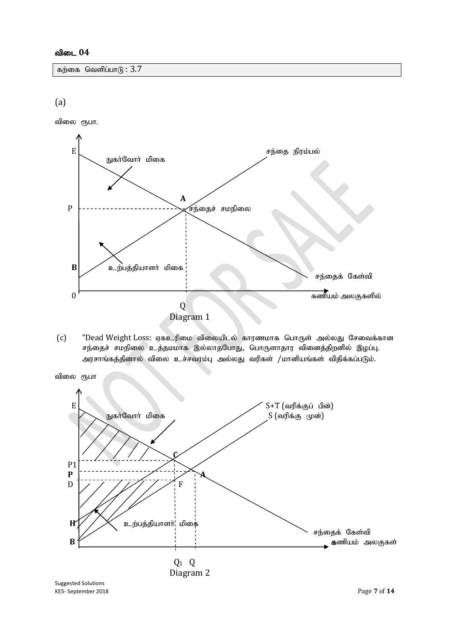#### விடை 04

கற்கை வெளிப்பா $G$ :  $3.7$ 

#### (a)

விலை ரூபா.



(c) "Dead Weight Loss: ஏகஉரிமை விலையிடல் காரணமாக பொருள் அல்லது சேவைக்கான சந்தைச் சமநிலை உத்தமமாக இல்லாதபோது, பொருளாதார வினைத்திறனில் இழப்பு. அரசாங்கத்தினால் விலை உச்சவரம்பு அல்லது வரிகள் /மானியங்கள் விதிக்கப்படும்.



```
KE5- September 2018 Page 7 of 14
```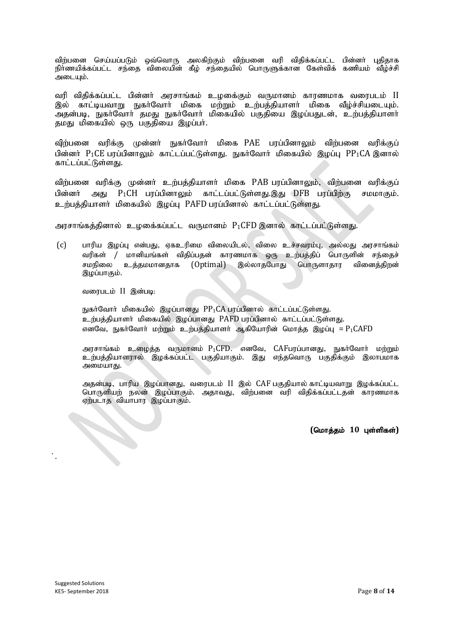விற்பனை செய்யப்படும் ஒவ்வொரு அலகிற்கும் விற்பனை வரி விதிக்கப்பட்ட பின்னா் புதிதாக நிர்ணயிக்கப்பட்ட சந்தை விலையின் கீழ் சந்தையில் பொருளுக்கான கேள்விக் கணியம் வீழ்ச்சி அடையும்.

வரி விதிக்கப்பட்ட பின்னா் அரசாங்கம் உழகை்கும் வருமானம் காரணமாக வரைபடம் II இல் காட்டியவாறு நுகர்வோர் மிகை மற்றும் உற்பத்தியாளர் மிகை வீழ்ச்சியடையும். அதன்படி, நுகர்வோர் தமது நுகர்வோர் மிகையில் பகுதியை இழப்பதுடன், உற்பத்தியாளர் தமது மிகையில் ஒரு பகுதியை இழப்பர்.

விற்பனை வரிக்கு முன்னா் நுகா்வோா் மிகை PAE பரப்பினாலும் விற்பனை வரிக்குப் பின்னர்  $P_1$ CE பரப்பினாலும் காட்டப்பட்டுள்ளது. நுகர்வோர் மிகையில் இழப்பு  $PP_1CA$  இனால் காட்டப்பட்டுள்ளது.

விற்பனை வரிக்கு முன்னர் உற்பத்தியாளர் மிகை PAB பரப்பினாலும், விற்பனை வரிக்குப் பின்னர் அது P<sub>1</sub>CH பரப்பினாலும் காட்டப்பட்டுள்ளது.இது DFB பரப்பிற்கு சமமாகும். உற்பத்தியாளர் மிகையில் இழப்பு PAFD பரப்பினால் காட்டப்பட்டுள்ளது.

அரசாங்கத்தினால் உழகை்கப்பட்ட வருமானம்  $P_1$ CFD இனால் காட்டப்பட்டுள்ளது.

(c) ghupa ,og;G vd;gJ> Vfcupik tpiyaply;> tpiy cr;rtuk;G> my;yJ murhq;fk; வரிகள் / மானியங்கள் விதிப்பதன் காரணமாக ஒரு உற்பத்திப் பொருளின் சந்தைச் சமநிலை உக்கமமானகாக (Optimal) இல்லாகபோகு பொருளாகாா வினைக்கிறன் இழப்பாகும்.

வரைபடம் II இன்படி:

நுகர்வோர் மிகையில் இழப்பானது  $PP_1CA$  பரப்பினால் காட்டப்பட்டுள்ளது. உற்பத்தியாளர் மிகையில் இழப்பானது PAFD பரப்பினால் காட்டப்பட்டுள்ளது. எனவே, நுகர்வோர் மற்றும் உற்பத்தியாளர் ஆகியோரின் மொத்த இழப்பு =  $P_1\mathsf{CAFD}$ 

அரசாங்கம் உழைத்த வருமானம்  $P_1$ CFD. எனவே, CAFபரப்பானது, நுகர்வோர் மற்றும் உற்பத்தியாளரால் இழக்கப்பட்ட பகுதியாகும். இது எந்தவொரு பகுதிக்கும் இலாபமாக அமையாது.

அதன்படி, பாரிய இழப்பானது, வரைபடம் II இல் CAF பகுதியால் காட்டியவாறு இழக்கப்பட்ட பொருளியற் நலன் இழப்பாகும். அதாவது, விற்பனை வரி விதிக்கப்பட்டதன் காரணமாக<br>ஏற்படாத வியாபார இழப்பாகும்.<br>**(மொத்தம் 10 புள்ளிகள்)**<br>**(மொத்தம் 10 புள்ளிகள்)** ஏற்படாத வியாபார இழப்பாகும்.

 $($ மொத்தம் 10 புள்ளிகள்)

;.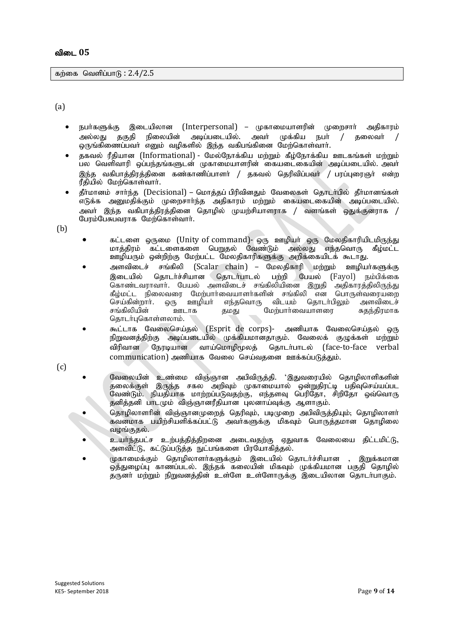கற்கை வெளிப்பா $f<sub>B</sub>: 2.4/2.5$ 

 $(a)$ 

- நபா்களுக்கு இடையிலான (Interpersonal) முகாமையாளரின் முறைசாா் அதிகாரம் அல்லது தகுதி நிலையின் அடிப்படையில். அவர் முக்கிய நபர் / தலைவர் ஒருங்கிணைப்பவா் எனும் வழிகளில் இந்த வகிபங்கினை மேற்கொள்வாா்.
- தகவல் ரீதியான (Informational) மேல்நோக்கிய மற்றும் கீழ்நோக்கிய ஊடகங்கள் மற்றும் .<br>பல வெளிவாரி ஒப்பந்தங்களுடன் முகாமையாளரின் கையடைகையின் அடிப்படையில். அவா் ிர்க வகிபாக்கிாக்கினை கண்காணிப்பாளர் / தகவல் தெரிவிப்பவர் / பரப்புரைஞர் என்ற ரீதியில் மேற்கொள்வார்.
- தீர்மானம் சார்ந்த (Decisional) மொத்தப் பிரிவினதும் வேலைகள் தொடர்பில் தீர்மானங்கள் .<br>எடுக்க அனுமதிக்கும் முறைசாாந்த அதிகாரம் மற்றும் கையடைகையின் அடிப்படையில். அவா் இந்த வகிபாத்திரத்தினை தொழில் முயற்சியாளராக / வளங்கள் ஒதுக்குனராக / பேரம்பேசுபவராக மேற்கொள்வார்.
- (b)
- கட்டளை ஒருமை (Unity of command)- ஒரு ஊழியர் ஒரு மேலதிகாரியிடமிருந்து<br>மாக்கிாம் கட்டளைகளை பெறுதல் வேண்டும் அல்லது எந்தவொரு கீழ்மட்ட மாத்திரம் கட்டளைகளை பெறுதல் வேண்டும் அல்லது ஊழியரும் ஒன்றிற்கு மேற்பட்ட மேலதிகாரிகளுக்கு அறிக்கையிடக் கூடாது.
- அளவிடைச் சங்கிலி (Scalar chain) மேலதிகாரி மற்றும் ஊழியா்களுக்கு இடையில் தொடர்ச்சியான தொடர்பாடல் பற்றி பேயல் (Fayol) நம்பிக்கை கொண்டவராவாா். பேயல் அளவிடைச் சங்கிலியினை இறுதி அதிகாரத்திலிருந்து கீழ்மட்ட நிலைவரை மேற்பாா்வையாளா்களின் சங்கிலி என பொருள்வரையறை<br>செய்கின்றாா். ஒரு ஊழியா் எந்தவொரு விடயம் தொடா்பிலும் அளவிடைச் செய்கின்றார். ஒரு ஊழியா் எந்தவொரு விடயம் தொடா்பிலும் அளவிடைச்<br>சங்கிலியின் ஊடாக கமகு மேற்பாா்வையாளரை சுகந்கிாமாக ு.<br>கமது மேற்பார்வையாளரை தொடர்புகொள்ளலாம்.
- கூட்டாக வேலைசெய்தல் (Esprit de corps)- அணியாக வேலைசெய்தல் ஒரு நிறுவனத்திற்கு அடிப்படையில் முக்கியமானதாகும். வேலைக் குழுக்கள் மற்றும் விரிவான நேரடியான வாய்மொழிமூலத் தொடர்பாடல் (face-to-face verbal  $comm$ unication) அணியாக வேலை செய்வகனை ஊக்கப்படுக்கும்.

(c)

- வேலையின் உண்மை விஞ்ஞான அபிவிருத்தி. 'இதுவரையில் தொழிலாளிகளின் தலைக்குள் இருந்த சகல அறிவும் முகாமையால் ஒன்றுதிரட்டி பதிவுசெய்யப்பட வேண்டும். நியதியாக மாற்றப்படுவதற்கு, எந்தளவு பெரிதோ, சிறிதோ ஒவ்வொரு தனித்தனி பாடமும் விஞ்ஞானரீதியான புலனாய்வுக்கு ஆளாகும்.
- தொழிலாளரின் விஞ்ஞானமுறைத் தெரிவும், படிமுறை அபிவிருத்தியும்; தொழிலாளர் கவனமாக பயிற்சியளிக்கப்பட்டு அவர்களுக்கு மிகவும் பொருத்தமான தொழிலை வழங்குதல்.
- உயர்ந்தபட்ச உற்பத்தித்திறனை அடைவதற்கு ஏதுவாக வேலையை திட்டமிட்டு, அளவிட்டு, கட்டுப்படுத்த நுட்பங்களை பிரயோகித்தல்.
- $\mu$ காமைக்கும் தொழிலாளர்களுக்கும் இடையில் தொடர்ச்சியான , இறுக்கமான  $\bar{\mathbf{e}}$ த்துழைப்பு காணப்படல். இந்தக் கலையின் மிகவும் முக்கியமான பகுதி தொழில் கருனா மற்றும் நிறுவனத்தின் உள்ளே உள்ளோருக்கு இடையிலான தொடா்பாகும்.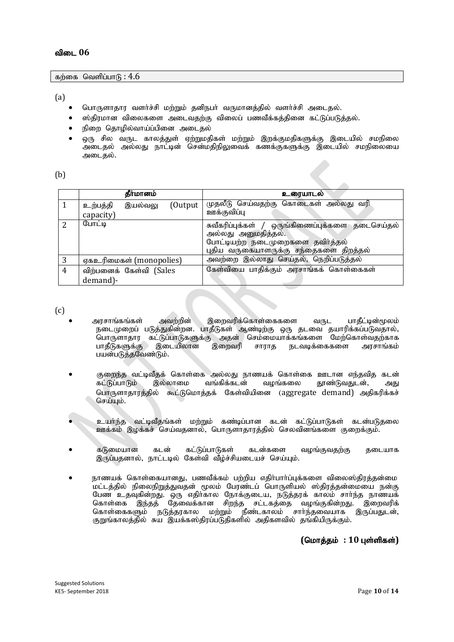கற்கை வெளிப்பா $6: 4.6$ 

(a)

- பொருளாதார வளர்ச்சி மற்றும் தனிநபர் வருமானத்தில் வளர்ச்சி அடைதல்.
- ஸ்திரமான விலைகளை அடைவதற்கு விலைப் பணவீக்கத்தினை கட்டுப்படுத்தல்.
- நிறை கொமில்வாய்ப்பினை அடைகல்
- ஒரு சில வருட காலத்துள் ஏற்றுமதிகள் மற்றும் இறக்குமதிகளுக்கு இடையில் சமநிலை ு ; …<br>அடைதல் அல்லது நாட்டின் சென்மதிநிலுவைக் கணக்குகளுக்கு இடையில் சமநிலையை அடைகல்.

(b)

|   | தீர்மானம்                                    | உரையாடல்                                                                                                                                              |
|---|----------------------------------------------|-------------------------------------------------------------------------------------------------------------------------------------------------------|
|   | (Output)<br>உற்பத்தி<br>இயல்வலு<br>capacity) | கொடைகள் அல்லது வரி<br>முதலீடு செய்வதற்கு<br>ஊக்குவிப்பு                                                                                               |
| 2 | போட்டி                                       | சுவீகரிப்புக்கள் / ஒருங்கிணைப்புக்களை தடைசெய்தல்<br>அல்லது அனுமதித்தல்.<br>போட்டியற்ற நடைமுறைகளை தவிர்த்தல்<br>புதிய வருகையாளருக்கு சந்தைகளை திறத்தல் |
| 3 | ஏகஉரிமைகள் (monopolies)                      | அவற்றை இல்லாது செய்தல், நெறிப்படுத்தல்                                                                                                                |
| 4 | விற்பனைக் கேள்வி (Sales                      | கேள்வியை பாதிக்கும் அரசாங்கக் கொள்கைகள்                                                                                                               |
|   | demand)-                                     |                                                                                                                                                       |

(c)

- $\bullet$  அரசாங்கங்கள் அவற்றின் இறைவரிக்கொள்கைகளை வருட பாதீட்டின்மூலம் நடைமுறைப் படுத்துகின்றன. பாதீடுகள் ஆண்டிற்கு ஒரு தடவை தயாரிக்கப்படுவதால், பொருளாதார கட்டுப்பாடுகளுக்கு அதன் செம்மையாக்கங்களை மேற்கொள்வதற்காக பாதீடுகளுக்கு இடையிலான இறைவரி சாராத நடவடிக்கைகளை அரசாங்கம் பயன்படுத்தவேண்டும்.
- குறைந்த வட்டிவீதக் கொள்கை அல்லது நாணயக் கொள்கை ஊடான எந்தவித கடன்<br>கட்டுப்பாடும் இல்லாமை வங்கிக்கடன் வமங்கலை தாண்டுவதுடன், அது தூண்டுவதுடன், அது பொருளாதாரத்தில் கூட்டுமொத்தக் கேள்வியினை (aggregate demand) அதிகரிக்கச் செய்யும்.
- உயர்ந்த வட்டிவீதங்கள் மற்றும் கண்டிப்பான கடன் கட்டுப்பாடுகள் கடன்படுதலை ஊக்கம் இழக்கச் செய்வதனால், பொருளாதாரத்தில் செலவினங்களை குறைக்கும்.
- கடுமையான கடன் கட்டுப்பாடுகள் கடன்களை வழங்குவகற்கு கடையாக இருப்பதனால், நாட்டடில் கேள்வி வீழ்ச்சியடையச் செய்யும்.
- நாணயக் கொள்கையானது, பணவீக்கம் பற்றிய எதிா்பாா்ப்புக்களை விலைஸ்திரத்தன்மை .<br>மட்டத்தில் நிலைநிறுத்துவதன் மூலம் பேரண்டப் பொருளியல் ஸ்திரத்தன்மையை நன்கு பேண உதவுகின்றது. ஒரு எதிர்கால நோக்குடைய, நடுத்தரக் காலம் சார்ந்த நாணயக் கொள்கை இந்தத் தேவைக்கான சிறந்த சட்டகத்தை வழங்குகின்றது. இறைவரிக் கொள்கைகளும் நடுத்தரகால மற்றும் நீண்டகாலம் சார்ந்தவையாக இருப்பதுடன், குறுங்காலத்தில் சுய இயக்கஸ்திரப்படுதிகளில் அதிகளவில் தங்கியிருக்கும்.

 $($ மொத்தம் : 10 புள்ளிகள்)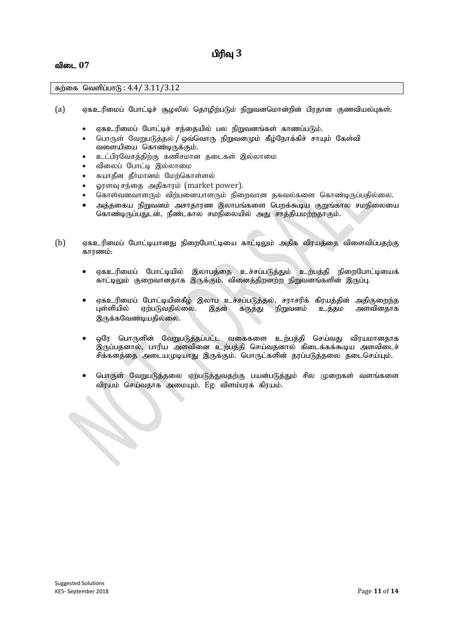# பிரிவு 3

#### விடை 07

#### கற்கை வெளிப்பாடு:  $4.4/3.11/3.12$

- (a) ஏகஉரிமைப் போட்டிச் சூழலில் தொழிற்படும் நிறுவனமொன்றின் பிரதான குணவியல்புகள்:
	- ஏகஉரிமைப் போட்டிச் சந்தையில் பல நிறுவனங்கள் காணப்படும்.
	- பொருள் வேறுபடுத்தல் / ஒவ்வொரு நிறுவனமும் கீழ்நோக்கிச் சாயும் கேள்வி வளையியை கொண்டிருக்கும்.
	- உட்பிரவேசத்திற்கு கணிசமான தடைகள் இல்லாமை
	- விலைப் போட்டி இல்லாமை
	- சுயாதீன தீர்மானம் மேற்கொள்ளல்
	- லரளவு சந்தை அதிகாரம் (market power).
	- கொள்வனவாளரும் விற்பனையாளரும் நிறைவான தகவல்களை கொண்டிருப்பதில்லை.
	- அக்ககைய நிறுவனம் அசாகாரண இலாபங்களை பொக்கூடிய குறுங்கால சமநிலையை கொண்டிருப்பதுடன், நீண்டகால சமநிலையில் அது சாத்தியமற்றதாகும்.
- (b) ஏகஉரிமைப் போட்டியானது நிறைபோட்டியை காட்டிலும் அதிக விரயத்தை விளைவிப்பதற்கு காாணம்:
	- ஏகஉரிமைப் போட்டியில் இலாபத்தை உச்சப்படுத்தும் உற்பத்தி நிறைபோட்டியைக் காட்டிலும் குறைவானதாக இருக்கும். வினைத்திறனற்ற நிறுவனங்களின் இருப்பு.
	- ஏகஉரிமைப் போட்டியின்கீழ் இலாப உச்சப்படுத்தல், சராசரிக் கிரயத்தின் அதிகுறைந்த<br>புள்ளியில் ஏற்படுவதில்லை. இதன் கருத்து நிறுவனம் உத்தம அளவினதாக ஏற்படுவதில்லை. இருக்கவேண்டியதில்லை.
	- ஒரே பொருளின் வேறுபடுத்தப்பட்ட வகைகளை உற்பத்தி செய்வது விரயமானதாக இருப்பதனால், பாரிய அளவினை உற்பத்தி செய்வதனால் கிடைக்கக்கூடிய அளவிடைச் சிக்கனத்தை அடையமுடியாது இருக்கும். பொருட்களின் தரப்படுத்தலை தடைசெய்யும்.
	- பொருள் வேறுபடுத்தலை ஏற்படுத்துவதற்கு பயன்படுத்தும் சில முறைகள் வளங்களை விரயம் செய்வதாக அமையும். Eg: விளம்பரக் கிரயம்.<br>.<br>.<br>.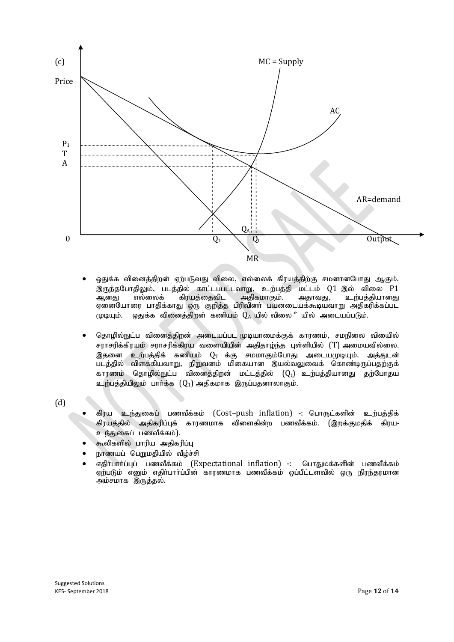

- ஒதுக்க வினைத்திறன் ஏற்படுவது விலை, எல்லைக் கிரயத்திற்கு சமனானபோது ஆகும். இருந்தபோதிலும், படத்தில் காட்டப்பட்டவாறு, உற்பத்தி மட்டம் Q1 இல் விலை P1<br>ஆனது எல்லைக் கிரயத்தைவிட அதிகமாகும். அதாவது, உற்பத்தியானது ஆனது எல்லைக் கிரயத்தைவிட அதிகமாகும். அதாவது, உற்பத்தியானது ஏனையோரை பாதிக்காது ஒரு குறித்த பிரிவினர் பயனடையக்கூடியவாறு அதிகரிக்கப்பட  $\mu$ டியும். ஒதுக்க வினைத்திறன் கணியும்  $Q_A$ யில் விலை °யில் அடையப்படும்.
- தொழில்நுட்ப வினைத்திறன் அடையப்பட முடியாமைக்குக் காரணம், சமநிலை வியைில் சராசரிக்கிரயம் சராசரிக்கிரய வளையியின் அதிதாழ்ந்த புள்ளியில் (T) அமையவில்லை. இதனை உற்பத்திக் கணியம்  $Q_\mathrm{T}$  க்கு சமமாகும்போது அடையமுடியும். அத்துடன் படத்தில் விளக்கியவாறு, நிறுவனம் மிகையான இயல்வலுவைக் கொண்டிருப்பதற்குக் காரணம் தொழில்நுட்ப வினைத்திறன் மட்டத்தில்  $(Q_t)$  உற்பத்தியானது தற்போதய  $\Omega$ ற்பத்தியிலும் பார்க்க  $(Q_1)$  அதிகமாக இருப்பதனாலாகும்.

(d)

- கிரய உந்துகைப் பணவீக்கம் (Cost–push inflation) -: பொருட்களின் உற்பத்திக் கிரயக்கில் அகிகரிப்பக் காாணமாக விளைகின்ற பணவீக்கம். (இறக்குமகிக் கிரய-உந்துகைப் பணவீக்கம்).
- கூலிகளில் பாரிய அதிகரிப்பு
- நாணயப் பெறுமதியில் வீழ்ச்சி
- எதிர்பார்ப்புப் பணவீக்கம் (Expectational inflation) -: பொதுமக்களின் பணவீக்கம் ஏற்படும் எனும் எதிர்பார்ப்பின் காரணமாக பணவீக்கம் ஒப்பீட்டளவில் ஒரு நிரந்தரமான ் அம்சமாக $\overline{\mathscr{A}}$ ருத்தல்.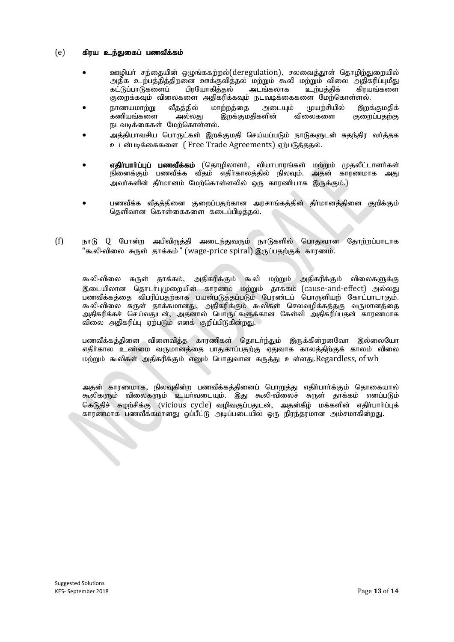#### $(e)$  கிரய உந்துகைப் பணவீக்கம்

- ஊழியர் சந்தையின் ஒழுங்ககற்றல்(deregulation), சலவைத்தூள் தொழிற்துறையில் அதிக உற்பத்தித்திறனை ஊக்குவித்தல் மற்றும் கூலி மற்றும் விலை அதிகரிப்புமீது<br>கட்டுப்பாடுகளைப் பிாயோகிக்கல் அடங்கலாக உற்பக்கிக் கிாயங்களை கட்டுப்பாடுகளைப் குறைக்கவும் விலைகளை அதிகரிக்கவும் நடவடிக்கைகளை மேற்கொள்ளல்.<br>நாணயமாற்று வீதத்தில் மாற்றத்தை அடையும் முயற்சியில் இறக
- நாணயமாற்று வீதத்தில் மாற்றத்தை அடையும் முயற்சியில் இறக்குமதிக்<br>கணியங்களை அல்லது இறக்குமதிகளின் விலைகளை குறைப்பதற்கு இறக்குமதிகளின் நடவடிக்கைகள் மேற்கொள்ளல்.
- அக்கியாவசிய பொருட்கள் இறக்குமதி செய்யப்படும் நாடுகளுடன் சுதந்திர வா்த்தக உடன்படிக்கைகளை (Free Trade Agreements) ஏற்படுத்ததல்.
- எதிர்பார்ப்புப் பணவீக்கம் (தொழிலாளர், வியாபாரங்கள் மற்றும் முதலீட்டாளர்கள் நினைக்கும் பணவீக்க வீதம் எதிர்காலத்தில் நிலவும். அதன் காரணமாக அது அவர்களின் தீர்மானம் மேற்கொள்ளலில் ஒரு காரணியாக இருக்கும்.)
- பணவீக்க வீதத்தினை குறைப்பதற்கான அரசாங்கத்தின் தீர்மானத்தினை குறிக்கும் தெளிவான கொள்கைகளை கடைப்பிடித்தல்.
- $(f)$  நாடு  $Q$  போன்ற அபிவிருத்தி அடைந்துவரும் நாடுகளில் பொதுவான தோற்றப்பாடாக "கூலி-விலை சுருள் காக்கம்" (wage-price spiral) இருப்பகற்குக் காரணம்.

கூலி-விலை சுருள் தாக்கம், அதிகரிக்கும் கூலி மற்றும் அதிகரிக்கும் விலைகளுக்கு இடையிலான தொடர்புமுறையின் காரணம் மற்றும் தாக்கம் (cause-and-effect) அல்லது பணவீக்கக்கை விபரிப்பதற்காக பயன்படுக்கப்படும் போண்டப் பொருளியற் கோட்பாடாகும். கூலி-விலை சுருள் தாக்கமானது. அதிகரிக்கும் கூலிகள் செலவமிக்கத்தகு வருமானத்தை அதிகரிக்கச் செய்வதுடன், அதனால் பொருட்களுக்கான கேள்வி அதிகரிப்பதன் காரணமாக விலை அதிகரிப்பு ஏற்படும் எனக் குறிப்பிடுகின்றது.

பணவீக்கத்தினை விளைவித்த காரணிகள் தொடர்ந்தும் இருக்கின்றனவோ இல்லையோ எதிர்கால உண்மை வருமானத்தை பாதுகாப்பதற்கு ஏதுவாக காலத்திற்குக் காலம் விலை மற்றும் கூலிகள் அதிகரிக்கும் எனும் பொதுவான கருத்து உள்ளது.Regardless, of wh

அதன் காரணமாக, நிலவுகின்ற பணவீக்கத்தினைப் பொறுத்து எதிர்பார்க்கும் தொகையால் கூலிகளும் விலைகளும் உயாவடையும். இது கூலி-விலைச் சுருள் தாக்கம் எனப்படும் கெடுதிச் சுமற்சிக்கு (vicious cycle) வமிவகுப்பதுடன், அதன்கீம் மக்களின் எதிர்பார்ப்புக் ்காரணமாக பணவீக்கமானது ஒப்பீட்டு அடிப்படையில் ஒரு நிரந்தரமான அம்சமாகின்றது.